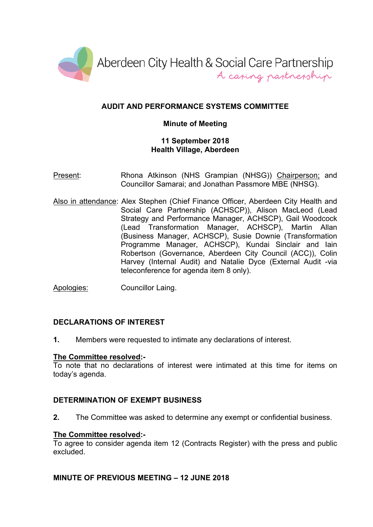

# **AUDIT AND PERFORMANCE SYSTEMS COMMITTEE**

### **Minute of Meeting**

#### **11 September 2018 Health Village, Aberdeen**

- Present: Rhona Atkinson (NHS Grampian (NHSG)) Chairperson; and Councillor Samarai; and Jonathan Passmore MBE (NHSG).
- Also in attendance: Alex Stephen (Chief Finance Officer, Aberdeen City Health and Social Care Partnership (ACHSCP)), Alison MacLeod (Lead Strategy and Performance Manager, ACHSCP), Gail Woodcock (Lead Transformation Manager, ACHSCP), Martin Allan (Business Manager, ACHSCP), Susie Downie (Transformation Programme Manager, ACHSCP), Kundai Sinclair and Iain Robertson (Governance, Aberdeen City Council (ACC)), Colin Harvey (Internal Audit) and Natalie Dyce (External Audit -via teleconference for agenda item 8 only).
- Apologies: Councillor Laing.

# **DECLARATIONS OF INTEREST**

**1.** Members were requested to intimate any declarations of interest.

#### **The Committee resolved:-**

To note that no declarations of interest were intimated at this time for items on today's agenda.

#### **DETERMINATION OF EXEMPT BUSINESS**

**2.** The Committee was asked to determine any exempt or confidential business.

#### **The Committee resolved:-**

To agree to consider agenda item 12 (Contracts Register) with the press and public excluded.

#### **MINUTE OF PREVIOUS MEETING – 12 JUNE 2018**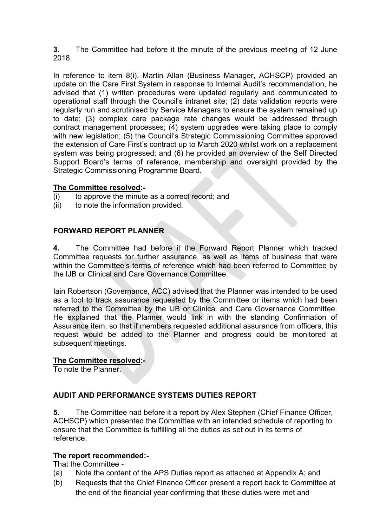**3.** The Committee had before it the minute of the previous meeting of 12 June 2018.

In reference to item 8(i), Martin Allan (Business Manager, ACHSCP) provided an update on the Care First System in response to Internal Audit's recommendation, he advised that (1) written procedures were updated regularly and communicated to operational staff through the Council's intranet site; (2) data validation reports were regularly run and scrutinised by Service Managers to ensure the system remained up to date; (3) complex care package rate changes would be addressed through contract management processes; (4) system upgrades were taking place to comply with new legislation; (5) the Council's Strategic Commissioning Committee approved the extension of Care First's contract up to March 2020 whilst work on a replacement system was being progressed; and (6) he provided an overview of the Self Directed Support Board's terms of reference, membership and oversight provided by the Strategic Commissioning Programme Board.

### **The Committee resolved:-**

- $(i)$  to approve the minute as a correct record; and
- (ii) to note the information provided.

# **FORWARD REPORT PLANNER**

**4.** The Committee had before it the Forward Report Planner which tracked Committee requests for further assurance, as well as items of business that were within the Committee's terms of reference which had been referred to Committee by the IJB or Clinical and Care Governance Committee.

Iain Robertson (Governance, ACC) advised that the Planner was intended to be used as a tool to track assurance requested by the Committee or items which had been referred to the Committee by the IJB or Clinical and Care Governance Committee. He explained that the Planner would link in with the standing Confirmation of Assurance item, so that if members requested additional assurance from officers, this request would be added to the Planner and progress could be monitored at subsequent meetings.

#### **The Committee resolved:-**

To note the Planner.

# **AUDIT AND PERFORMANCE SYSTEMS DUTIES REPORT**

**5.** The Committee had before it a report by Alex Stephen (Chief Finance Officer, ACHSCP) which presented the Committee with an intended schedule of reporting to ensure that the Committee is fulfilling all the duties as set out in its terms of reference.

#### **The report recommended:-**

That the Committee -

- (a) Note the content of the APS Duties report as attached at Appendix A; and
- (b) Requests that the Chief Finance Officer present a report back to Committee at the end of the financial year confirming that these duties were met and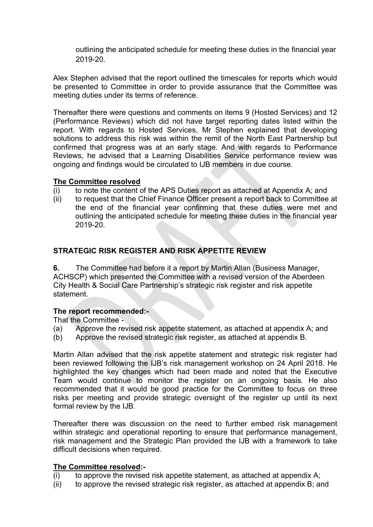outlining the anticipated schedule for meeting these duties in the financial year 2019-20.

Alex Stephen advised that the report outlined the timescales for reports which would be presented to Committee in order to provide assurance that the Committee was meeting duties under its terms of reference.

Thereafter there were questions and comments on items 9 (Hosted Services) and 12 (Performance Reviews) which did not have target reporting dates listed within the report. With regards to Hosted Services, Mr Stephen explained that developing solutions to address this risk was within the remit of the North East Partnership but confirmed that progress was at an early stage. And with regards to Performance Reviews, he advised that a Learning Disabilities Service performance review was ongoing and findings would be circulated to IJB members in due course.

#### **The Committee resolved**

- (i) to note the content of the APS Duties report as attached at Appendix A; and
- (ii) to request that the Chief Finance Officer present a report back to Committee at the end of the financial year confirming that these duties were met and outlining the anticipated schedule for meeting these duties in the financial year 2019-20.

### **STRATEGIC RISK REGISTER AND RISK APPETITE REVIEW**

**6.** The Committee had before it a report by Martin Allan (Business Manager, ACHSCP) which presented the Committee with a revised version of the Aberdeen City Health & Social Care Partnership's strategic risk register and risk appetite statement.

#### **The report recommended:-**

That the Committee -

- (a) Approve the revised risk appetite statement, as attached at appendix A; and
- (b) Approve the revised strategic risk register, as attached at appendix B.

Martin Allan advised that the risk appetite statement and strategic risk register had been reviewed following the IJB's risk management workshop on 24 April 2018. He highlighted the key changes which had been made and noted that the Executive Team would continue to monitor the register on an ongoing basis. He also recommended that it would be good practice for the Committee to focus on three risks per meeting and provide strategic oversight of the register up until its next formal review by the IJB.

Thereafter there was discussion on the need to further embed risk management within strategic and operational reporting to ensure that performance management, risk management and the Strategic Plan provided the IJB with a framework to take difficult decisions when required.

#### **The Committee resolved:-**

- $(i)$  to approve the revised risk appetite statement, as attached at appendix A;
- (ii) to approve the revised strategic risk register, as attached at appendix B; and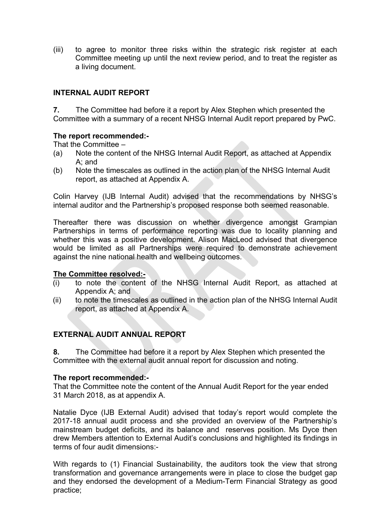(iii) to agree to monitor three risks within the strategic risk register at each Committee meeting up until the next review period, and to treat the register as a living document.

### **INTERNAL AUDIT REPORT**

**7.** The Committee had before it a report by Alex Stephen which presented the Committee with a summary of a recent NHSG Internal Audit report prepared by PwC.

#### **The report recommended:-**

That the Committee –

- (a) Note the content of the NHSG Internal Audit Report, as attached at Appendix A; and
- (b) Note the timescales as outlined in the action plan of the NHSG Internal Audit report, as attached at Appendix A.

Colin Harvey (IJB Internal Audit) advised that the recommendations by NHSG's internal auditor and the Partnership's proposed response both seemed reasonable.

Thereafter there was discussion on whether divergence amongst Grampian Partnerships in terms of performance reporting was due to locality planning and whether this was a positive development. Alison MacLeod advised that divergence would be limited as all Partnerships were required to demonstrate achievement against the nine national health and wellbeing outcomes.

#### **The Committee resolved:-**

- (i) to note the content of the NHSG Internal Audit Report, as attached at Appendix A; and
- (ii) to note the timescales as outlined in the action plan of the NHSG Internal Audit report, as attached at Appendix A.

# **EXTERNAL AUDIT ANNUAL REPORT**

**8.** The Committee had before it a report by Alex Stephen which presented the Committee with the external audit annual report for discussion and noting.

#### **The report recommended:-**

That the Committee note the content of the Annual Audit Report for the year ended 31 March 2018, as at appendix A.

Natalie Dyce (IJB External Audit) advised that today's report would complete the 2017-18 annual audit process and she provided an overview of the Partnership's mainstream budget deficits, and its balance and reserves position. Ms Dyce then drew Members attention to External Audit's conclusions and highlighted its findings in terms of four audit dimensions:-

With regards to (1) Financial Sustainability, the auditors took the view that strong transformation and governance arrangements were in place to close the budget gap and they endorsed the development of a Medium-Term Financial Strategy as good practice;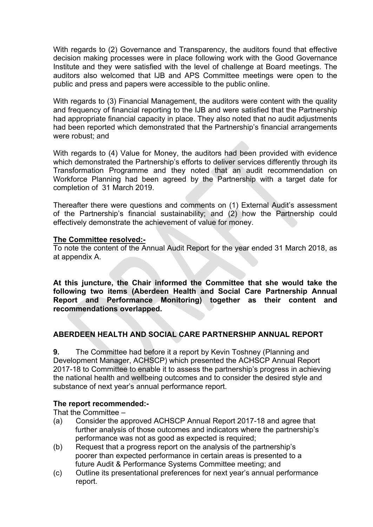With regards to (2) Governance and Transparency, the auditors found that effective decision making processes were in place following work with the Good Governance Institute and they were satisfied with the level of challenge at Board meetings. The auditors also welcomed that IJB and APS Committee meetings were open to the public and press and papers were accessible to the public online.

With regards to (3) Financial Management, the auditors were content with the quality and frequency of financial reporting to the IJB and were satisfied that the Partnership had appropriate financial capacity in place. They also noted that no audit adjustments had been reported which demonstrated that the Partnership's financial arrangements were robust; and

With regards to (4) Value for Money, the auditors had been provided with evidence which demonstrated the Partnership's efforts to deliver services differently through its Transformation Programme and they noted that an audit recommendation on Workforce Planning had been agreed by the Partnership with a target date for completion of 31 March 2019.

Thereafter there were questions and comments on (1) External Audit's assessment of the Partnership's financial sustainability; and (2) how the Partnership could effectively demonstrate the achievement of value for money.

#### **The Committee resolved:-**

To note the content of the Annual Audit Report for the year ended 31 March 2018, as at appendix A.

**At this juncture, the Chair informed the Committee that she would take the following two items (Aberdeen Health and Social Care Partnership Annual Report and Performance Monitoring) together as their content and recommendations overlapped.**

# **ABERDEEN HEALTH AND SOCIAL CARE PARTNERSHIP ANNUAL REPORT**

**9.** The Committee had before it a report by Kevin Toshney (Planning and Development Manager, ACHSCP) which presented the ACHSCP Annual Report 2017-18 to Committee to enable it to assess the partnership's progress in achieving the national health and wellbeing outcomes and to consider the desired style and substance of next year's annual performance report.

#### **The report recommended:-**

That the Committee –

- (a) Consider the approved ACHSCP Annual Report 2017-18 and agree that further analysis of those outcomes and indicators where the partnership's performance was not as good as expected is required;
- (b) Request that a progress report on the analysis of the partnership's poorer than expected performance in certain areas is presented to a future Audit & Performance Systems Committee meeting; and
- (c) Outline its presentational preferences for next year's annual performance report.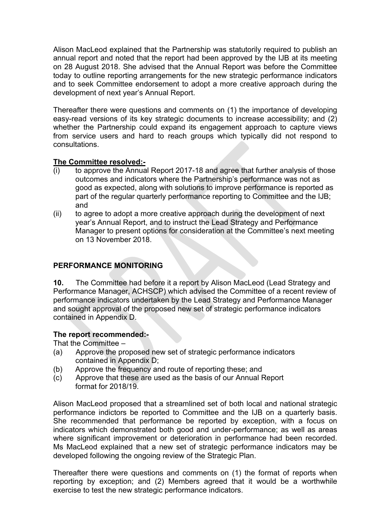Alison MacLeod explained that the Partnership was statutorily required to publish an annual report and noted that the report had been approved by the IJB at its meeting on 28 August 2018. She advised that the Annual Report was before the Committee today to outline reporting arrangements for the new strategic performance indicators and to seek Committee endorsement to adopt a more creative approach during the development of next year's Annual Report.

Thereafter there were questions and comments on (1) the importance of developing easy-read versions of its key strategic documents to increase accessibility; and (2) whether the Partnership could expand its engagement approach to capture views from service users and hard to reach groups which typically did not respond to consultations.

### **The Committee resolved:-**

- (i) to approve the Annual Report 2017-18 and agree that further analysis of those outcomes and indicators where the Partnership's performance was not as good as expected, along with solutions to improve performance is reported as part of the regular quarterly performance reporting to Committee and the IJB; and
- (ii) to agree to adopt a more creative approach during the development of next year's Annual Report, and to instruct the Lead Strategy and Performance Manager to present options for consideration at the Committee's next meeting on 13 November 2018.

# **PERFORMANCE MONITORING**

**10.** The Committee had before it a report by Alison MacLeod (Lead Strategy and Performance Manager, ACHSCP) which advised the Committee of a recent review of performance indicators undertaken by the Lead Strategy and Performance Manager and sought approval of the proposed new set of strategic performance indicators contained in Appendix D.

### **The report recommended:-**

That the Committee –

- (a) Approve the proposed new set of strategic performance indicators contained in Appendix D;
- (b) Approve the frequency and route of reporting these; and
- (c) Approve that these are used as the basis of our Annual Report format for 2018/19.

Alison MacLeod proposed that a streamlined set of both local and national strategic performance indictors be reported to Committee and the IJB on a quarterly basis. She recommended that performance be reported by exception, with a focus on indicators which demonstrated both good and under-performance; as well as areas where significant improvement or deterioration in performance had been recorded. Ms MacLeod explained that a new set of strategic performance indicators may be developed following the ongoing review of the Strategic Plan.

Thereafter there were questions and comments on (1) the format of reports when reporting by exception; and (2) Members agreed that it would be a worthwhile exercise to test the new strategic performance indicators.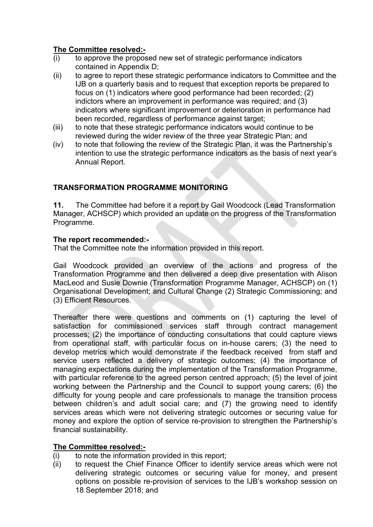# **The Committee resolved:-**

- (i) to approve the proposed new set of strategic performance indicators contained in Appendix D;
- (ii) to agree to report these strategic performance indicators to Committee and the IJB on a quarterly basis and to request that exception reports be prepared to focus on (1) indicators where good performance had been recorded; (2) indictors where an improvement in performance was required; and (3) indicators where significant improvement or deterioration in performance had been recorded, regardless of performance against target;
- (iii) to note that these strategic performance indicators would continue to be reviewed during the wider review of the three year Strategic Plan; and
- (iv) to note that following the review of the Strategic Plan, it was the Partnership's intention to use the strategic performance indicators as the basis of next year's Annual Report.

# **TRANSFORMATION PROGRAMME MONITORING**

**11.** The Committee had before it a report by Gail Woodcock (Lead Transformation Manager, ACHSCP) which provided an update on the progress of the Transformation Programme.

# **The report recommended:-**

That the Committee note the information provided in this report.

Gail Woodcock provided an overview of the actions and progress of the Transformation Programme and then delivered a deep dive presentation with Alison MacLeod and Susie Downie (Transformation Programme Manager, ACHSCP) on (1) Organisational Development; and Cultural Change (2) Strategic Commissioning; and (3) Efficient Resources.

Thereafter there were questions and comments on (1) capturing the level of satisfaction for commissioned services staff through contract management processes; (2) the importance of conducting consultations that could capture views from operational staff, with particular focus on in-house carers; (3) the need to develop metrics which would demonstrate if the feedback received from staff and service users reflected a delivery of strategic outcomes; (4) the importance of managing expectations during the implementation of the Transformation Programme, with particular reference to the agreed person centred approach; (5) the level of joint working between the Partnership and the Council to support young carers; (6) the difficulty for young people and care professionals to manage the transition process between children's and adult social care; and (7) the growing need to identify services areas which were not delivering strategic outcomes or securing value for money and explore the option of service re-provision to strengthen the Partnership's financial sustainability.

# **The Committee resolved:-**

- (i) to note the information provided in this report;
- (ii) to request the Chief Finance Officer to identify service areas which were not delivering strategic outcomes or securing value for money, and present options on possible re-provision of services to the IJB's workshop session on 18 September 2018; and